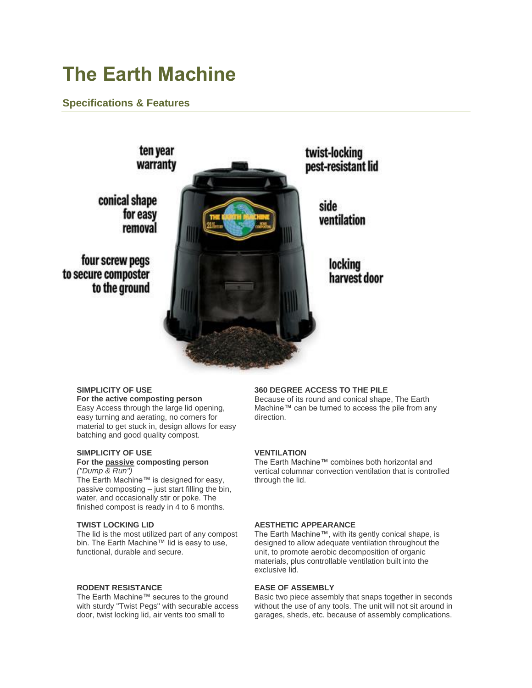# **The Earth Machine**

# **Specifications & Features**



# **SIMPLICITY OF USE**

**For the active composting person** Easy Access through the large lid opening, easy turning and aerating, no corners for material to get stuck in, design allows for easy batching and good quality compost.

#### **SIMPLICITY OF USE For the passive composting person**

#### *("Dump & Run")*

The Earth Machine™ is designed for easy, passive composting – just start filling the bin, water, and occasionally stir or poke. The finished compost is ready in 4 to 6 months.

# **TWIST LOCKING LID**

The lid is the most utilized part of any compost bin. The Earth Machine™ lid is easy to use, functional, durable and secure.

# **RODENT RESISTANCE**

The Earth Machine™ secures to the ground with sturdy "Twist Pegs" with securable access door, twist locking lid, air vents too small to

# **360 DEGREE ACCESS TO THE PILE**

Because of its round and conical shape, The Earth Machine™ can be turned to access the pile from any direction.

# **VENTILATION**

The Earth Machine™ combines both horizontal and vertical columnar convection ventilation that is controlled through the lid.

# **AESTHETIC APPEARANCE**

The Earth Machine™, with its gently conical shape, is designed to allow adequate ventilation throughout the unit, to promote aerobic decomposition of organic materials, plus controllable ventilation built into the exclusive lid.

# **EASE OF ASSEMBLY**

Basic two piece assembly that snaps together in seconds without the use of any tools. The unit will not sit around in garages, sheds, etc. because of assembly complications.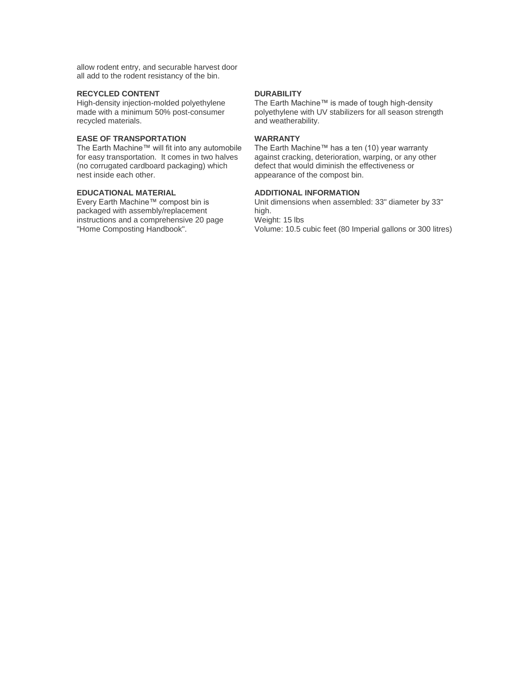allow rodent entry, and securable harvest door all add to the rodent resistancy of the bin.

### **RECYCLED CONTENT**

High-density injection-molded polyethylene made with a minimum 50% post-consumer recycled materials.

# **EASE OF TRANSPORTATION**

The Earth Machine™ will fit into any automobile for easy transportation. It comes in two halves (no corrugated cardboard packaging) which nest inside each other.

# **EDUCATIONAL MATERIAL**

Every Earth Machine™ compost bin is packaged with assembly/replacement instructions and a comprehensive 20 page "Home Composting Handbook".

### **DURABILITY**

The Earth Machine™ is made of tough high-density polyethylene with UV stabilizers for all season strength and weatherability.

# **WARRANTY**

The Earth Machine™ has a ten (10) year warranty against cracking, deterioration, warping, or any other defect that would diminish the effectiveness or appearance of the compost bin.

# **ADDITIONAL INFORMATION**

Unit dimensions when assembled: 33" diameter by 33" high. Weight: 15 lbs Volume: 10.5 cubic feet (80 Imperial gallons or 300 litres)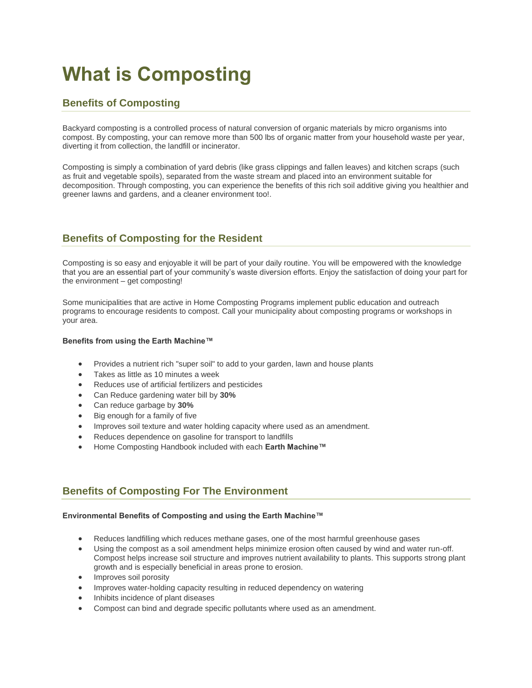# **What is Composting**

# **Benefits of Composting**

Backyard composting is a controlled process of natural conversion of organic materials by micro organisms into compost. By composting, your can remove more than 500 lbs of organic matter from your household waste per year, diverting it from collection, the landfill or incinerator.

Composting is simply a combination of yard debris (like grass clippings and fallen leaves) and kitchen scraps (such as fruit and vegetable spoils), separated from the waste stream and placed into an environment suitable for decomposition. Through composting, you can experience the benefits of this rich soil additive giving you healthier and greener lawns and gardens, and a cleaner environment too!.

# **Benefits of Composting for the Resident**

Composting is so easy and enjoyable it will be part of your daily routine. You will be empowered with the knowledge that you are an essential part of your community's waste diversion efforts. Enjoy the satisfaction of doing your part for the environment – get composting!

Some municipalities that are active in Home Composting Programs implement public education and outreach programs to encourage residents to compost. Call your municipality about composting programs or workshops in your area.

# **Benefits from using the Earth Machine™**

- Provides a nutrient rich "super soil" to add to your garden, lawn and house plants
- Takes as little as 10 minutes a week
- Reduces use of artificial fertilizers and pesticides
- Can Reduce gardening water bill by **30%**
- Can reduce garbage by **30%**
- Big enough for a family of five
- Improves soil texture and water holding capacity where used as an amendment.
- Reduces dependence on gasoline for transport to landfills
- Home Composting Handbook included with each **Earth Machine™**

# **Benefits of Composting For The Environment**

# **Environmental Benefits of Composting and using the Earth Machine™**

- Reduces landfilling which reduces methane gases, one of the most harmful greenhouse gases
- Using the compost as a soil amendment helps minimize erosion often caused by wind and water run-off. Compost helps increase soil structure and improves nutrient availability to plants. This supports strong plant growth and is especially beneficial in areas prone to erosion.
- Improves soil porosity
- Improves water-holding capacity resulting in reduced dependency on watering
- Inhibits incidence of plant diseases
- Compost can bind and degrade specific pollutants where used as an amendment.